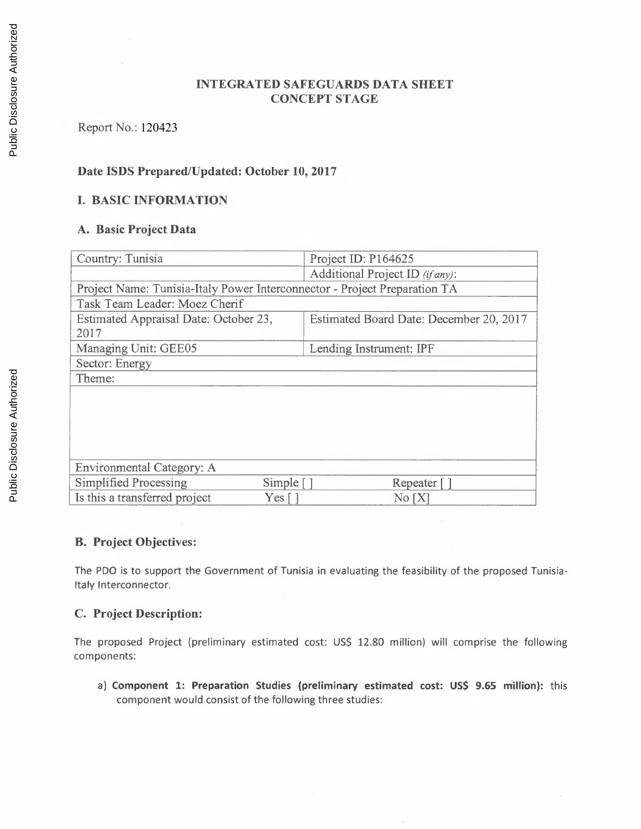## **INTEGRATED SAFEGUARDS DATA SHEET CONCEPT STAGE**

## Report No.: 120423

## **Date ISDS Prepared/Updated: October 10, 2017**

### **I. BASIC INFORMATION**

### **A. Basic Project Data**

| Country: Tunisia                                                          | Project ID: P164625                     |  |  |
|---------------------------------------------------------------------------|-----------------------------------------|--|--|
|                                                                           | Additional Project ID (if any):         |  |  |
| Project Name: Tunisia-Italy Power Interconnector - Project Preparation TA |                                         |  |  |
| Task Team Leader: Moez Cherif                                             |                                         |  |  |
| Estimated Appraisal Date: October 23,                                     | Estimated Board Date: December 20, 2017 |  |  |
| 2017                                                                      |                                         |  |  |
| Managing Unit: GEE05                                                      | Lending Instrument: IPF                 |  |  |
| Sector: Energy                                                            |                                         |  |  |
| Theme:                                                                    |                                         |  |  |
|                                                                           |                                         |  |  |
|                                                                           |                                         |  |  |
|                                                                           |                                         |  |  |
|                                                                           |                                         |  |  |
|                                                                           |                                         |  |  |
| Environmental Category: A                                                 |                                         |  |  |
| Simplified Processing<br>Simple $\lceil \cdot \rceil$                     | Repeater []                             |  |  |
| Is this a transferred project<br>$Yes \lceil$                             | No[X]                                   |  |  |

### **B. Project Objectives:**

The PDQ is to support the Government of Tunisia in evaluating the feasibility of the proposed Tunisia-Italy lnterconnector.

### **C. Project Description:**

The proposed Project (preliminary estimated cost: US\$ 12.80 million) will comprise the following components:

a) **Component 1: Preparation Studies (preliminary estimated cost: US\$ 9.65 million):** this component would consist of the following three studies: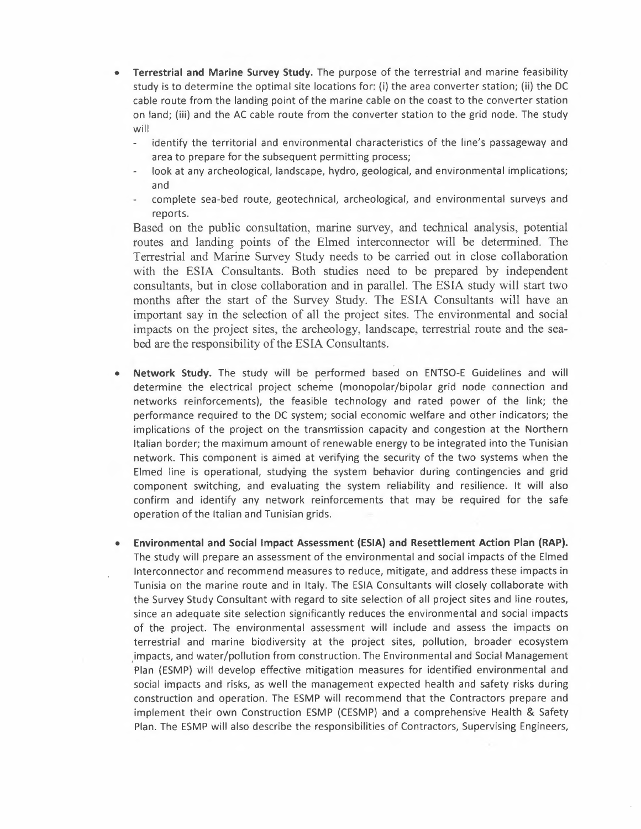- **Terrestrial and Marine Survey Study.** The purpose of the terrestrial and marine feasibility study is to determine the optimal site locations for: (i) the area converter station; (ii) the DC cable route from the landing point of the marine cable on the coast to the converter station on land; (iii) and the AC cable route from the converter station to the grid node. The study will
	- identify the territorial and environmental characteristics of the line's passageway and area to prepare for the subsequent permitting process;
	- look at any archeological, landscape, hydro, geological, and environmental implications; and
	- complete sea-bed route, geotechnical, archeological, and environmental surveys and reports.

Based on the public consultation, marine survey, and technical analysis, potential routes and landing points of the Elmed interconnector will be determined. The Terrestrial and Marine Survey Study needs to be carried out in close collaboration with the ESIA Consultants. Both studies need to be prepared by independent consultants, but in close collaboration and in parallel. The ESIA study will start two months after the start of the Survey Study. The ESIA Consultants will have an important say in the selection of all the project sites. The environmental and social impacts on the project sites, the archeology, landscape, terrestrial route and the seabed are the responsibility of the ESIA Consultants.

- **Network Study.** The study will be performed based on ENTSO-E Guidelines and will determine the electrical project scheme (monopolar/bipolar grid node connection and networks reinforcements), the feasible technology and rated power of the link; the performance required to the DC system; social economic welfare and other indicators; the implications of the project on the transmission capacity and congestion at the Northern Italian border; the maximum amount of renewable energy to be integrated into the Tunisian network. This component is aimed at verifying the security of the two systems when the Elmed line is operational, studying the system behavior during contingencies and grid component switching, and evaluating the system reliability and resilience. It will also confirm and identify any network reinforcements that may be required for the safe operation of the Italian and Tunisian grids.
- **Environmental and Social Impact Assessment (ESIA) and Resettlement Action Plan (RAP).**  The study will prepare an assessment of the environmental and social impacts of the Elmed lnterconnector and recommend measures to reduce, mitigate, and address these impacts in Tunisia on the marine route and in Italy. The ESIA Consultants will closely collaborate with the Survey Study Consultant with regard to site selection of all project sites and line routes, since an adequate site selection significantly reduces the environmental and social impacts of the project. The environmental assessment will include and assess the impacts on terrestrial and marine biodiversity at the project sites, pollution, broader ecosystem impacts, and water/pollution from construction. The Environmental and Social Management Plan (ESMP) will develop effective mitigation measures for identified environmental and social impacts and risks, as well the management expected health and safety risks during construction and operation. The ESMP will recommend that the Contractors prepare and implement their own Construction ESMP (CESMP) and a comprehensive Health & Safety Plan. The ESMP will also describe the responsibilities of Contractors, Supervising Engineers,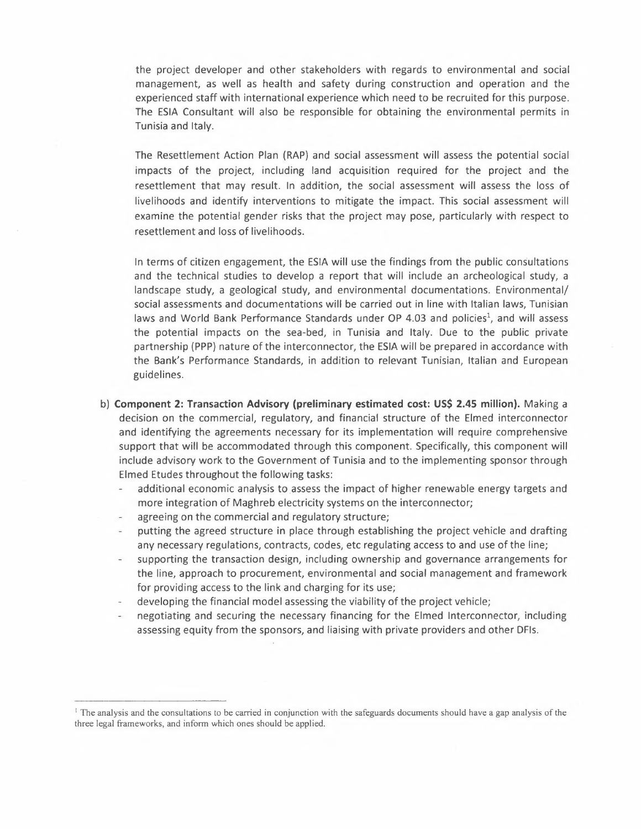the project developer and other stakeholders with regards to environmental and social management, as well as health and safety during construction and operation and the experienced staff with international experience which need to be recruited for this purpose. The ESIA Consultant will also be responsible for obtaining the environmental permits in Tunisia and Italy.

The Resettlement Action Plan (RAP) and social assessment will assess the potential social impacts of the project, including land acquisition required for the project and the resettlement that may result. In addition, the social assessment will assess the loss of livelihoods and identify interventions to mitigate the impact. This social assessment will examine the potential gender risks that the project may pose, particularly with respect to resettlement and loss of livelihoods.

In terms of citizen engagement, the ESIA will use the findings from the public consultations and the technical studies to develop a report that will include an archeological study, a landscape study, a geological study, and environmental documentations. Environmental/ social assessments and documentations will be carried out in line with Italian laws, Tunisian laws and World Bank Performance Standards under OP 4.03 and policies', and will assess the potential impacts on the sea-bed, in Tunisia and Italy. Due to the public private partnership (PPP) nature of the interconnector, the ESIA will be prepared in accordance with the Bank's Performance Standards, in addition to relevant Tunisian, Italian and European guidelines.

- b) **Component 2: Transaction Advisory (preliminary estimated cost: US\$ 2.45 million).** Making a decision on the commercial, regulatory, and financial structure of the Elmed interconnector and identifying the agreements necessary for its implementation will require comprehensive support that will be accommodated through this component. Specifically, this component will include advisory work to the Government of Tunisia and to the implementing sponsor through Elmed Etudes throughout the following tasks:
	- additional economic analysis to assess the impact of higher renewable energy targets and more integration of Maghreb electricity systems on the interconnector;
	- agreeing on the commercial and regulatory structure;
	- putting the agreed structure in place through establishing the project vehicle and drafting any necessary regulations, contracts, codes, etc regulating access to and use of the line;
	- supporting the transaction design, including ownership and governance arrangements for the line, approach to procurement, environmental and social management and framework for providing access to the link and charging for its use;
	- developing the financial model assessing the viability of the project vehicle;
	- negotiating and securing the necessary financing for the Elmed lnterconnector, including assessing equity from the sponsors, and liaising with private providers and other DFls.

<sup>&</sup>lt;sup>1</sup> The analysis and the consultations to be carried in conjunction with the safeguards documents should have a gap analysis of the three legal frameworks, and inform which ones should be applied.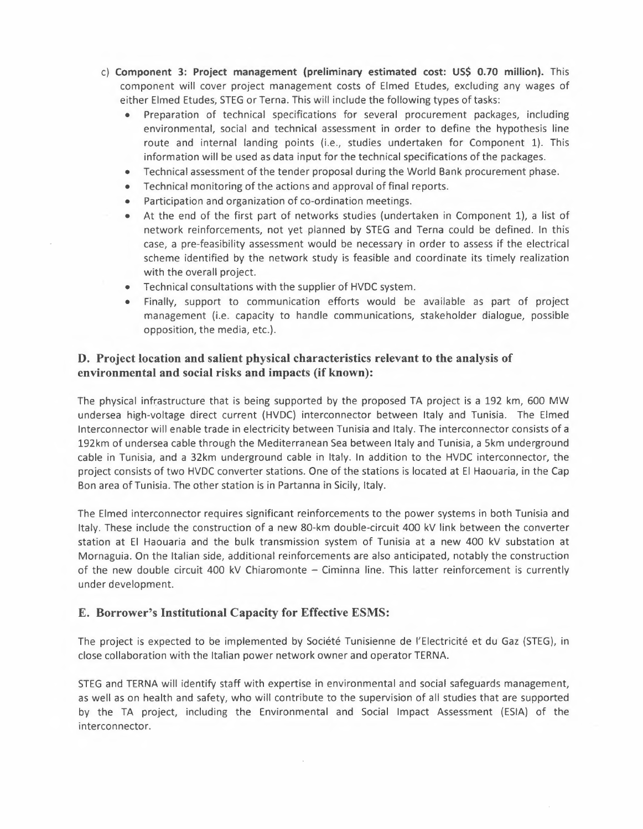- c) **Component 3: Project management (preliminary estimated cost: US\$ 0.70 million).** This component will cover project management costs of Elmed Etudes, excluding any wages of either Elmed Etudes, STEG or Terna. This will include the following types of tasks:
	- Preparation of technical specifications for several procurement packages, including environmental, social and technical assessment in order to define the hypothesis line route and internal landing points (i.e., studies undertaken for Component 1). This information will be used as data input for the technical specifications of the packages.
	- Technical assessment of the tender proposal during the World Bank procurement phase.
	- Technical monitoring of the actions and approval of final reports.
	- Participation and organization of co-ordination meetings.
	- At the end of the first part of networks studies (undertaken in Component 1), a list of network reinforcements, not yet planned by STEG and Terna could be defined. In this case, a pre-feasibility assessment would be necessary in order to assess if the electrical scheme identified by the network study is feasible and coordinate its timely realization with the overall project.
	- Technical consultations with the supplier of HVDC system.
	- Finally, support to communication efforts would be available as part of project management (i.e. capacity to handle communications, stakeholder dialogue, possible opposition, the media, etc.).

### **D. Project location and salient physical characteristics relevant to the analysis of environmental and social risks and impacts (if known):**

The physical infrastructure that is being supported by the proposed TA project is a 192 km, 600 MW undersea high-voltage direct current (HVDC) interconnector between Italy and Tunisia. The Elmed lnterconnector will enable trade in electricity between Tunisia and Italy. The interconnector consists of a 192km of undersea cable through the Mediterranean Sea between Italy and Tunisia, a 5km underground cable in Tunisia, and a 32km underground cable in Italy. In addition to the HVDC interconnector, the project consists of two HVDC converter stations. One of the stations is located at El Haouaria, in the Cap Bon area of Tunisia. The other station is in Partanna in Sicily, Italy.

The Elmed interconnector requires significant reinforcements to the power systems in both Tunisia and Italy. These include the construction of a new 80-km double-circuit 400 kV link between the converter station at El Haouaria and the bulk transmission system of Tunisia at a new 400 kV substation at Mornaguia. On the Italian side, additional reinforcements are also anticipated, notably the construction of the new double circuit 400 kV Chiaromonte  $-$  Ciminna line. This latter reinforcement is currently under development.

### **E. Borrower's Institutional Capacity for Effective ESMS:**

The project is expected to be implemented by Société Tunisienne de l'Electricité et du Gaz (STEG), in close collaboration with the Italian power network owner and operator TERNA.

STEG and TERNA will identify staff with expertise in environmental and social safeguards management, as well as on health and safety, who will contribute to the supervision of all studies that are supported by the TA project, including the Environmental and Social Impact Assessment (ESIA) of the interconnector.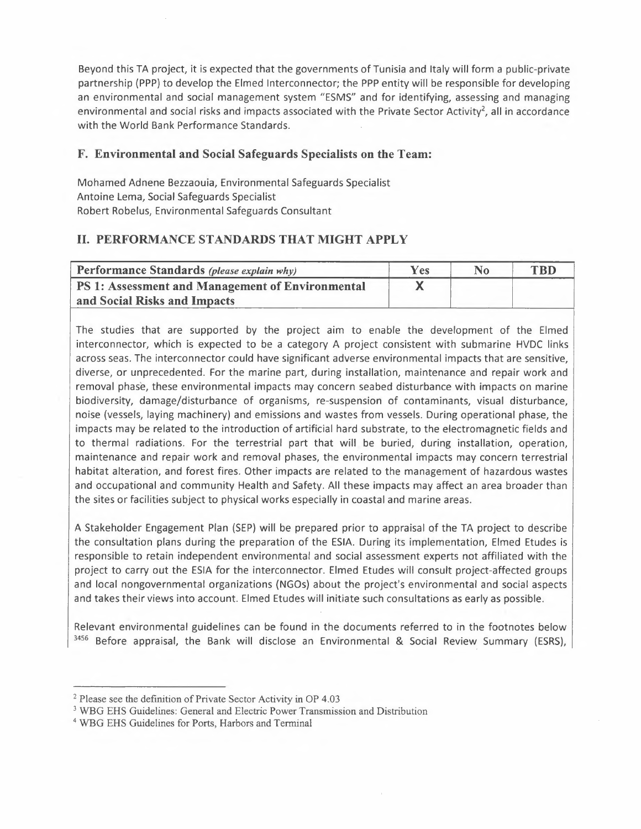Beyond this TA project, it is expected that the governments of Tunisia and Italy will form a public-private partnership (PPP) to develop the Elmed lnterconnector; the PPP entity will be responsible for developing an environmental and social management system "ESMS" and for identifying, assessing and managing environmental and social risks and impacts associated with the Private Sector Activity<sup>2</sup>, all in accordance with the World Bank Performance Standards.

## **F. Environmental and Social Safeguards Specialists on the Team:**

Mohamed Adnene Bezzaouia, Environmental Safeguards Specialist Antoine Lema, Social Safeguards Specialist Robert Robelus, Environmental Safeguards Consultant

# II. **PERFORMANCE STANDARDS THAT MIGHT APPLY**

| Performance Standards (please explain why)       | Yes | <b>TRD</b> |
|--------------------------------------------------|-----|------------|
| PS 1: Assessment and Management of Environmental |     |            |
| and Social Risks and Impacts                     |     |            |

The studies that are supported by the project aim to enable the development of the Elmed interconnector, which is expected to be a category A project consistent with submarine HVDC links across seas. The interconnector could have significant adverse environmental impacts that are sensitive, diverse, or unprecedented. For the marine part, during installation, maintenance and repair work and removal phase, these environmental impacts may concern seabed disturbance with impacts on marine biodiversity, damage/disturbance of organisms, re-suspension of contaminants, visual disturbance, noise (vessels, laying machinery) and emissions and wastes from vessels. During operational phase, the impacts may be related to the introduction of artificial hard substrate, to the electromagnetic fields and to thermal radiations. For the terrestrial part that will be buried, during installation, operation, maintenance and repair work and removal phases, the environmental impacts may concern terrestrial habitat alteration, and forest fires. Other impacts are related to the management of hazardous wastes and occupational and community Health and Safety. All these impacts may affect an area broader than the sites or facilities subject to physical works especially in coastal and marine areas.

A Stakeholder Engagement Plan (SEP) will be prepared prior to appraisal of the TA project to describe the consultation plans during the preparation of the ESIA. During its implementation, Elmed Etudes is responsible to retain independent environmental and social assessment experts not affiliated with the project to carry out the ESIA for the interconnector. Elmed Etudes will consult project-affected groups and local nongovernmental organizations (NGOs) about the project's environmental and social aspects and takes their views into account. Elmed Etudes will initiate such consultations as early as possible.

Relevant environmental guidelines can be found in the documents referred to in the footnotes below 3456 Before appraisal, the Bank will disclose an Environmental & Social Review Summary (ESRS),

<sup>&</sup>lt;sup>2</sup> Please see the definition of Private Sector Activity in OP 4.03

<sup>3</sup>WBG EHS Guidelines: General and Electric Power Transmission and Distribution

<sup>4</sup> WBG EHS Guidelines for Ports, Harbors and Terminal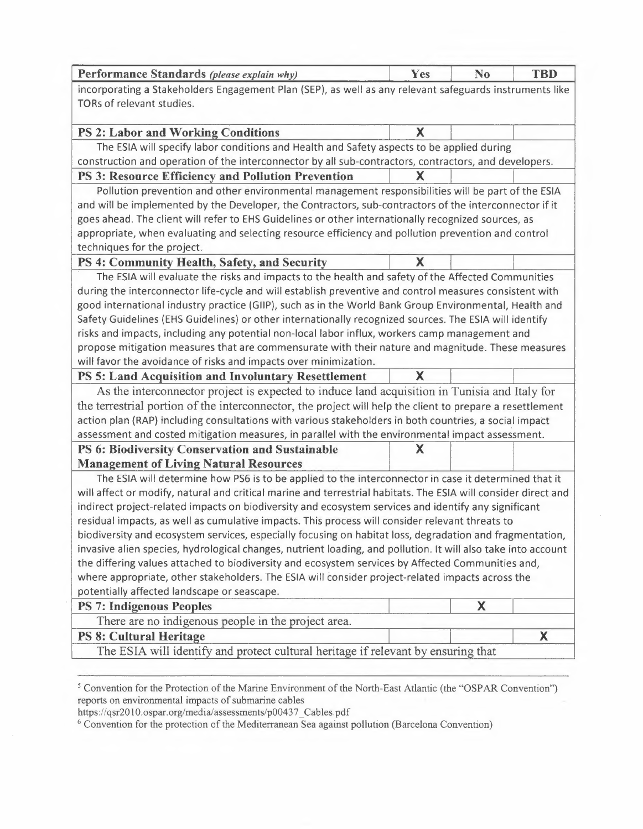| incorporating a Stakeholders Engagement Plan (SEP), as well as any relevant safeguards instruments like<br>TORs of relevant studies.<br>X<br><b>PS 2: Labor and Working Conditions</b><br>The ESIA will specify labor conditions and Health and Safety aspects to be applied during<br>construction and operation of the interconnector by all sub-contractors, contractors, and developers.<br>X<br><b>PS 3: Resource Efficiency and Pollution Prevention</b><br>Pollution prevention and other environmental management responsibilities will be part of the ESIA<br>and will be implemented by the Developer, the Contractors, sub-contractors of the interconnector if it<br>goes ahead. The client will refer to EHS Guidelines or other internationally recognized sources, as<br>appropriate, when evaluating and selecting resource efficiency and pollution prevention and control<br>techniques for the project.<br>X<br>PS 4: Community Health, Safety, and Security<br>The ESIA will evaluate the risks and impacts to the health and safety of the Affected Communities<br>during the interconnector life-cycle and will establish preventive and control measures consistent with<br>good international industry practice (GIIP), such as in the World Bank Group Environmental, Health and<br>Safety Guidelines (EHS Guidelines) or other internationally recognized sources. The ESIA will identify<br>risks and impacts, including any potential non-local labor influx, workers camp management and<br>propose mitigation measures that are commensurate with their nature and magnitude. These measures<br>will favor the avoidance of risks and impacts over minimization.<br>PS 5: Land Acquisition and Involuntary Resettlement<br>X<br>As the interconnector project is expected to induce land acquisition in Tunisia and Italy for<br>the terrestrial portion of the interconnector, the project will help the client to prepare a resettlement<br>action plan (RAP) including consultations with various stakeholders in both countries, a social impact<br>assessment and costed mitigation measures, in parallel with the environmental impact assessment.<br><b>PS 6: Biodiversity Conservation and Sustainable</b><br>X<br><b>Management of Living Natural Resources</b><br>The ESIA will determine how PS6 is to be applied to the interconnector in case it determined that it<br>will affect or modify, natural and critical marine and terrestrial habitats. The ESIA will consider direct and<br>indirect project-related impacts on biodiversity and ecosystem services and identify any significant<br>residual impacts, as well as cumulative impacts. This process will consider relevant threats to<br>biodiversity and ecosystem services, especially focusing on habitat loss, degradation and fragmentation,<br>invasive alien species, hydrological changes, nutrient loading, and pollution. It will also take into account<br>the differing values attached to biodiversity and ecosystem services by Affected Communities and,<br>where appropriate, other stakeholders. The ESIA will consider project-related impacts across the | Performance Standards (please explain why) | Yes | N <sub>0</sub> | <b>TBD</b> |  |
|-----------------------------------------------------------------------------------------------------------------------------------------------------------------------------------------------------------------------------------------------------------------------------------------------------------------------------------------------------------------------------------------------------------------------------------------------------------------------------------------------------------------------------------------------------------------------------------------------------------------------------------------------------------------------------------------------------------------------------------------------------------------------------------------------------------------------------------------------------------------------------------------------------------------------------------------------------------------------------------------------------------------------------------------------------------------------------------------------------------------------------------------------------------------------------------------------------------------------------------------------------------------------------------------------------------------------------------------------------------------------------------------------------------------------------------------------------------------------------------------------------------------------------------------------------------------------------------------------------------------------------------------------------------------------------------------------------------------------------------------------------------------------------------------------------------------------------------------------------------------------------------------------------------------------------------------------------------------------------------------------------------------------------------------------------------------------------------------------------------------------------------------------------------------------------------------------------------------------------------------------------------------------------------------------------------------------------------------------------------------------------------------------------------------------------------------------------------------------------------------------------------------------------------------------------------------------------------------------------------------------------------------------------------------------------------------------------------------------------------------------------------------------------------------------------------------------------------------------------------------------------------------------------------------------------------------------------------------------------------------------------------------------------------------------------------------------------------------------------------------------------------------------------------------------------------|--------------------------------------------|-----|----------------|------------|--|
|                                                                                                                                                                                                                                                                                                                                                                                                                                                                                                                                                                                                                                                                                                                                                                                                                                                                                                                                                                                                                                                                                                                                                                                                                                                                                                                                                                                                                                                                                                                                                                                                                                                                                                                                                                                                                                                                                                                                                                                                                                                                                                                                                                                                                                                                                                                                                                                                                                                                                                                                                                                                                                                                                                                                                                                                                                                                                                                                                                                                                                                                                                                                                                                   |                                            |     |                |            |  |
|                                                                                                                                                                                                                                                                                                                                                                                                                                                                                                                                                                                                                                                                                                                                                                                                                                                                                                                                                                                                                                                                                                                                                                                                                                                                                                                                                                                                                                                                                                                                                                                                                                                                                                                                                                                                                                                                                                                                                                                                                                                                                                                                                                                                                                                                                                                                                                                                                                                                                                                                                                                                                                                                                                                                                                                                                                                                                                                                                                                                                                                                                                                                                                                   |                                            |     |                |            |  |
|                                                                                                                                                                                                                                                                                                                                                                                                                                                                                                                                                                                                                                                                                                                                                                                                                                                                                                                                                                                                                                                                                                                                                                                                                                                                                                                                                                                                                                                                                                                                                                                                                                                                                                                                                                                                                                                                                                                                                                                                                                                                                                                                                                                                                                                                                                                                                                                                                                                                                                                                                                                                                                                                                                                                                                                                                                                                                                                                                                                                                                                                                                                                                                                   |                                            |     |                |            |  |
|                                                                                                                                                                                                                                                                                                                                                                                                                                                                                                                                                                                                                                                                                                                                                                                                                                                                                                                                                                                                                                                                                                                                                                                                                                                                                                                                                                                                                                                                                                                                                                                                                                                                                                                                                                                                                                                                                                                                                                                                                                                                                                                                                                                                                                                                                                                                                                                                                                                                                                                                                                                                                                                                                                                                                                                                                                                                                                                                                                                                                                                                                                                                                                                   |                                            |     |                |            |  |
|                                                                                                                                                                                                                                                                                                                                                                                                                                                                                                                                                                                                                                                                                                                                                                                                                                                                                                                                                                                                                                                                                                                                                                                                                                                                                                                                                                                                                                                                                                                                                                                                                                                                                                                                                                                                                                                                                                                                                                                                                                                                                                                                                                                                                                                                                                                                                                                                                                                                                                                                                                                                                                                                                                                                                                                                                                                                                                                                                                                                                                                                                                                                                                                   |                                            |     |                |            |  |
|                                                                                                                                                                                                                                                                                                                                                                                                                                                                                                                                                                                                                                                                                                                                                                                                                                                                                                                                                                                                                                                                                                                                                                                                                                                                                                                                                                                                                                                                                                                                                                                                                                                                                                                                                                                                                                                                                                                                                                                                                                                                                                                                                                                                                                                                                                                                                                                                                                                                                                                                                                                                                                                                                                                                                                                                                                                                                                                                                                                                                                                                                                                                                                                   |                                            |     |                |            |  |
|                                                                                                                                                                                                                                                                                                                                                                                                                                                                                                                                                                                                                                                                                                                                                                                                                                                                                                                                                                                                                                                                                                                                                                                                                                                                                                                                                                                                                                                                                                                                                                                                                                                                                                                                                                                                                                                                                                                                                                                                                                                                                                                                                                                                                                                                                                                                                                                                                                                                                                                                                                                                                                                                                                                                                                                                                                                                                                                                                                                                                                                                                                                                                                                   |                                            |     |                |            |  |
|                                                                                                                                                                                                                                                                                                                                                                                                                                                                                                                                                                                                                                                                                                                                                                                                                                                                                                                                                                                                                                                                                                                                                                                                                                                                                                                                                                                                                                                                                                                                                                                                                                                                                                                                                                                                                                                                                                                                                                                                                                                                                                                                                                                                                                                                                                                                                                                                                                                                                                                                                                                                                                                                                                                                                                                                                                                                                                                                                                                                                                                                                                                                                                                   |                                            |     |                |            |  |
|                                                                                                                                                                                                                                                                                                                                                                                                                                                                                                                                                                                                                                                                                                                                                                                                                                                                                                                                                                                                                                                                                                                                                                                                                                                                                                                                                                                                                                                                                                                                                                                                                                                                                                                                                                                                                                                                                                                                                                                                                                                                                                                                                                                                                                                                                                                                                                                                                                                                                                                                                                                                                                                                                                                                                                                                                                                                                                                                                                                                                                                                                                                                                                                   |                                            |     |                |            |  |
|                                                                                                                                                                                                                                                                                                                                                                                                                                                                                                                                                                                                                                                                                                                                                                                                                                                                                                                                                                                                                                                                                                                                                                                                                                                                                                                                                                                                                                                                                                                                                                                                                                                                                                                                                                                                                                                                                                                                                                                                                                                                                                                                                                                                                                                                                                                                                                                                                                                                                                                                                                                                                                                                                                                                                                                                                                                                                                                                                                                                                                                                                                                                                                                   |                                            |     |                |            |  |
|                                                                                                                                                                                                                                                                                                                                                                                                                                                                                                                                                                                                                                                                                                                                                                                                                                                                                                                                                                                                                                                                                                                                                                                                                                                                                                                                                                                                                                                                                                                                                                                                                                                                                                                                                                                                                                                                                                                                                                                                                                                                                                                                                                                                                                                                                                                                                                                                                                                                                                                                                                                                                                                                                                                                                                                                                                                                                                                                                                                                                                                                                                                                                                                   |                                            |     |                |            |  |
|                                                                                                                                                                                                                                                                                                                                                                                                                                                                                                                                                                                                                                                                                                                                                                                                                                                                                                                                                                                                                                                                                                                                                                                                                                                                                                                                                                                                                                                                                                                                                                                                                                                                                                                                                                                                                                                                                                                                                                                                                                                                                                                                                                                                                                                                                                                                                                                                                                                                                                                                                                                                                                                                                                                                                                                                                                                                                                                                                                                                                                                                                                                                                                                   |                                            |     |                |            |  |
|                                                                                                                                                                                                                                                                                                                                                                                                                                                                                                                                                                                                                                                                                                                                                                                                                                                                                                                                                                                                                                                                                                                                                                                                                                                                                                                                                                                                                                                                                                                                                                                                                                                                                                                                                                                                                                                                                                                                                                                                                                                                                                                                                                                                                                                                                                                                                                                                                                                                                                                                                                                                                                                                                                                                                                                                                                                                                                                                                                                                                                                                                                                                                                                   |                                            |     |                |            |  |
|                                                                                                                                                                                                                                                                                                                                                                                                                                                                                                                                                                                                                                                                                                                                                                                                                                                                                                                                                                                                                                                                                                                                                                                                                                                                                                                                                                                                                                                                                                                                                                                                                                                                                                                                                                                                                                                                                                                                                                                                                                                                                                                                                                                                                                                                                                                                                                                                                                                                                                                                                                                                                                                                                                                                                                                                                                                                                                                                                                                                                                                                                                                                                                                   |                                            |     |                |            |  |
|                                                                                                                                                                                                                                                                                                                                                                                                                                                                                                                                                                                                                                                                                                                                                                                                                                                                                                                                                                                                                                                                                                                                                                                                                                                                                                                                                                                                                                                                                                                                                                                                                                                                                                                                                                                                                                                                                                                                                                                                                                                                                                                                                                                                                                                                                                                                                                                                                                                                                                                                                                                                                                                                                                                                                                                                                                                                                                                                                                                                                                                                                                                                                                                   |                                            |     |                |            |  |
|                                                                                                                                                                                                                                                                                                                                                                                                                                                                                                                                                                                                                                                                                                                                                                                                                                                                                                                                                                                                                                                                                                                                                                                                                                                                                                                                                                                                                                                                                                                                                                                                                                                                                                                                                                                                                                                                                                                                                                                                                                                                                                                                                                                                                                                                                                                                                                                                                                                                                                                                                                                                                                                                                                                                                                                                                                                                                                                                                                                                                                                                                                                                                                                   |                                            |     |                |            |  |
|                                                                                                                                                                                                                                                                                                                                                                                                                                                                                                                                                                                                                                                                                                                                                                                                                                                                                                                                                                                                                                                                                                                                                                                                                                                                                                                                                                                                                                                                                                                                                                                                                                                                                                                                                                                                                                                                                                                                                                                                                                                                                                                                                                                                                                                                                                                                                                                                                                                                                                                                                                                                                                                                                                                                                                                                                                                                                                                                                                                                                                                                                                                                                                                   |                                            |     |                |            |  |
|                                                                                                                                                                                                                                                                                                                                                                                                                                                                                                                                                                                                                                                                                                                                                                                                                                                                                                                                                                                                                                                                                                                                                                                                                                                                                                                                                                                                                                                                                                                                                                                                                                                                                                                                                                                                                                                                                                                                                                                                                                                                                                                                                                                                                                                                                                                                                                                                                                                                                                                                                                                                                                                                                                                                                                                                                                                                                                                                                                                                                                                                                                                                                                                   |                                            |     |                |            |  |
|                                                                                                                                                                                                                                                                                                                                                                                                                                                                                                                                                                                                                                                                                                                                                                                                                                                                                                                                                                                                                                                                                                                                                                                                                                                                                                                                                                                                                                                                                                                                                                                                                                                                                                                                                                                                                                                                                                                                                                                                                                                                                                                                                                                                                                                                                                                                                                                                                                                                                                                                                                                                                                                                                                                                                                                                                                                                                                                                                                                                                                                                                                                                                                                   |                                            |     |                |            |  |
|                                                                                                                                                                                                                                                                                                                                                                                                                                                                                                                                                                                                                                                                                                                                                                                                                                                                                                                                                                                                                                                                                                                                                                                                                                                                                                                                                                                                                                                                                                                                                                                                                                                                                                                                                                                                                                                                                                                                                                                                                                                                                                                                                                                                                                                                                                                                                                                                                                                                                                                                                                                                                                                                                                                                                                                                                                                                                                                                                                                                                                                                                                                                                                                   |                                            |     |                |            |  |
|                                                                                                                                                                                                                                                                                                                                                                                                                                                                                                                                                                                                                                                                                                                                                                                                                                                                                                                                                                                                                                                                                                                                                                                                                                                                                                                                                                                                                                                                                                                                                                                                                                                                                                                                                                                                                                                                                                                                                                                                                                                                                                                                                                                                                                                                                                                                                                                                                                                                                                                                                                                                                                                                                                                                                                                                                                                                                                                                                                                                                                                                                                                                                                                   |                                            |     |                |            |  |
|                                                                                                                                                                                                                                                                                                                                                                                                                                                                                                                                                                                                                                                                                                                                                                                                                                                                                                                                                                                                                                                                                                                                                                                                                                                                                                                                                                                                                                                                                                                                                                                                                                                                                                                                                                                                                                                                                                                                                                                                                                                                                                                                                                                                                                                                                                                                                                                                                                                                                                                                                                                                                                                                                                                                                                                                                                                                                                                                                                                                                                                                                                                                                                                   |                                            |     |                |            |  |
|                                                                                                                                                                                                                                                                                                                                                                                                                                                                                                                                                                                                                                                                                                                                                                                                                                                                                                                                                                                                                                                                                                                                                                                                                                                                                                                                                                                                                                                                                                                                                                                                                                                                                                                                                                                                                                                                                                                                                                                                                                                                                                                                                                                                                                                                                                                                                                                                                                                                                                                                                                                                                                                                                                                                                                                                                                                                                                                                                                                                                                                                                                                                                                                   |                                            |     |                |            |  |
|                                                                                                                                                                                                                                                                                                                                                                                                                                                                                                                                                                                                                                                                                                                                                                                                                                                                                                                                                                                                                                                                                                                                                                                                                                                                                                                                                                                                                                                                                                                                                                                                                                                                                                                                                                                                                                                                                                                                                                                                                                                                                                                                                                                                                                                                                                                                                                                                                                                                                                                                                                                                                                                                                                                                                                                                                                                                                                                                                                                                                                                                                                                                                                                   |                                            |     |                |            |  |
|                                                                                                                                                                                                                                                                                                                                                                                                                                                                                                                                                                                                                                                                                                                                                                                                                                                                                                                                                                                                                                                                                                                                                                                                                                                                                                                                                                                                                                                                                                                                                                                                                                                                                                                                                                                                                                                                                                                                                                                                                                                                                                                                                                                                                                                                                                                                                                                                                                                                                                                                                                                                                                                                                                                                                                                                                                                                                                                                                                                                                                                                                                                                                                                   |                                            |     |                |            |  |
|                                                                                                                                                                                                                                                                                                                                                                                                                                                                                                                                                                                                                                                                                                                                                                                                                                                                                                                                                                                                                                                                                                                                                                                                                                                                                                                                                                                                                                                                                                                                                                                                                                                                                                                                                                                                                                                                                                                                                                                                                                                                                                                                                                                                                                                                                                                                                                                                                                                                                                                                                                                                                                                                                                                                                                                                                                                                                                                                                                                                                                                                                                                                                                                   |                                            |     |                |            |  |
|                                                                                                                                                                                                                                                                                                                                                                                                                                                                                                                                                                                                                                                                                                                                                                                                                                                                                                                                                                                                                                                                                                                                                                                                                                                                                                                                                                                                                                                                                                                                                                                                                                                                                                                                                                                                                                                                                                                                                                                                                                                                                                                                                                                                                                                                                                                                                                                                                                                                                                                                                                                                                                                                                                                                                                                                                                                                                                                                                                                                                                                                                                                                                                                   |                                            |     |                |            |  |
|                                                                                                                                                                                                                                                                                                                                                                                                                                                                                                                                                                                                                                                                                                                                                                                                                                                                                                                                                                                                                                                                                                                                                                                                                                                                                                                                                                                                                                                                                                                                                                                                                                                                                                                                                                                                                                                                                                                                                                                                                                                                                                                                                                                                                                                                                                                                                                                                                                                                                                                                                                                                                                                                                                                                                                                                                                                                                                                                                                                                                                                                                                                                                                                   |                                            |     |                |            |  |
|                                                                                                                                                                                                                                                                                                                                                                                                                                                                                                                                                                                                                                                                                                                                                                                                                                                                                                                                                                                                                                                                                                                                                                                                                                                                                                                                                                                                                                                                                                                                                                                                                                                                                                                                                                                                                                                                                                                                                                                                                                                                                                                                                                                                                                                                                                                                                                                                                                                                                                                                                                                                                                                                                                                                                                                                                                                                                                                                                                                                                                                                                                                                                                                   |                                            |     |                |            |  |
|                                                                                                                                                                                                                                                                                                                                                                                                                                                                                                                                                                                                                                                                                                                                                                                                                                                                                                                                                                                                                                                                                                                                                                                                                                                                                                                                                                                                                                                                                                                                                                                                                                                                                                                                                                                                                                                                                                                                                                                                                                                                                                                                                                                                                                                                                                                                                                                                                                                                                                                                                                                                                                                                                                                                                                                                                                                                                                                                                                                                                                                                                                                                                                                   |                                            |     |                |            |  |
|                                                                                                                                                                                                                                                                                                                                                                                                                                                                                                                                                                                                                                                                                                                                                                                                                                                                                                                                                                                                                                                                                                                                                                                                                                                                                                                                                                                                                                                                                                                                                                                                                                                                                                                                                                                                                                                                                                                                                                                                                                                                                                                                                                                                                                                                                                                                                                                                                                                                                                                                                                                                                                                                                                                                                                                                                                                                                                                                                                                                                                                                                                                                                                                   |                                            |     |                |            |  |
|                                                                                                                                                                                                                                                                                                                                                                                                                                                                                                                                                                                                                                                                                                                                                                                                                                                                                                                                                                                                                                                                                                                                                                                                                                                                                                                                                                                                                                                                                                                                                                                                                                                                                                                                                                                                                                                                                                                                                                                                                                                                                                                                                                                                                                                                                                                                                                                                                                                                                                                                                                                                                                                                                                                                                                                                                                                                                                                                                                                                                                                                                                                                                                                   |                                            |     |                |            |  |
|                                                                                                                                                                                                                                                                                                                                                                                                                                                                                                                                                                                                                                                                                                                                                                                                                                                                                                                                                                                                                                                                                                                                                                                                                                                                                                                                                                                                                                                                                                                                                                                                                                                                                                                                                                                                                                                                                                                                                                                                                                                                                                                                                                                                                                                                                                                                                                                                                                                                                                                                                                                                                                                                                                                                                                                                                                                                                                                                                                                                                                                                                                                                                                                   |                                            |     |                |            |  |
|                                                                                                                                                                                                                                                                                                                                                                                                                                                                                                                                                                                                                                                                                                                                                                                                                                                                                                                                                                                                                                                                                                                                                                                                                                                                                                                                                                                                                                                                                                                                                                                                                                                                                                                                                                                                                                                                                                                                                                                                                                                                                                                                                                                                                                                                                                                                                                                                                                                                                                                                                                                                                                                                                                                                                                                                                                                                                                                                                                                                                                                                                                                                                                                   |                                            |     |                |            |  |
|                                                                                                                                                                                                                                                                                                                                                                                                                                                                                                                                                                                                                                                                                                                                                                                                                                                                                                                                                                                                                                                                                                                                                                                                                                                                                                                                                                                                                                                                                                                                                                                                                                                                                                                                                                                                                                                                                                                                                                                                                                                                                                                                                                                                                                                                                                                                                                                                                                                                                                                                                                                                                                                                                                                                                                                                                                                                                                                                                                                                                                                                                                                                                                                   |                                            |     |                |            |  |
| potentially affected landscape or seascape.                                                                                                                                                                                                                                                                                                                                                                                                                                                                                                                                                                                                                                                                                                                                                                                                                                                                                                                                                                                                                                                                                                                                                                                                                                                                                                                                                                                                                                                                                                                                                                                                                                                                                                                                                                                                                                                                                                                                                                                                                                                                                                                                                                                                                                                                                                                                                                                                                                                                                                                                                                                                                                                                                                                                                                                                                                                                                                                                                                                                                                                                                                                                       |                                            |     |                |            |  |
| X<br><b>PS 7: Indigenous Peoples</b>                                                                                                                                                                                                                                                                                                                                                                                                                                                                                                                                                                                                                                                                                                                                                                                                                                                                                                                                                                                                                                                                                                                                                                                                                                                                                                                                                                                                                                                                                                                                                                                                                                                                                                                                                                                                                                                                                                                                                                                                                                                                                                                                                                                                                                                                                                                                                                                                                                                                                                                                                                                                                                                                                                                                                                                                                                                                                                                                                                                                                                                                                                                                              |                                            |     |                |            |  |
| There are no indigenous people in the project area.                                                                                                                                                                                                                                                                                                                                                                                                                                                                                                                                                                                                                                                                                                                                                                                                                                                                                                                                                                                                                                                                                                                                                                                                                                                                                                                                                                                                                                                                                                                                                                                                                                                                                                                                                                                                                                                                                                                                                                                                                                                                                                                                                                                                                                                                                                                                                                                                                                                                                                                                                                                                                                                                                                                                                                                                                                                                                                                                                                                                                                                                                                                               |                                            |     |                |            |  |
| X<br><b>PS 8: Cultural Heritage</b>                                                                                                                                                                                                                                                                                                                                                                                                                                                                                                                                                                                                                                                                                                                                                                                                                                                                                                                                                                                                                                                                                                                                                                                                                                                                                                                                                                                                                                                                                                                                                                                                                                                                                                                                                                                                                                                                                                                                                                                                                                                                                                                                                                                                                                                                                                                                                                                                                                                                                                                                                                                                                                                                                                                                                                                                                                                                                                                                                                                                                                                                                                                                               |                                            |     |                |            |  |
| The ESIA will identify and protect cultural heritage if relevant by ensuring that                                                                                                                                                                                                                                                                                                                                                                                                                                                                                                                                                                                                                                                                                                                                                                                                                                                                                                                                                                                                                                                                                                                                                                                                                                                                                                                                                                                                                                                                                                                                                                                                                                                                                                                                                                                                                                                                                                                                                                                                                                                                                                                                                                                                                                                                                                                                                                                                                                                                                                                                                                                                                                                                                                                                                                                                                                                                                                                                                                                                                                                                                                 |                                            |     |                |            |  |

<sup>5</sup> Convention for the Protection of the Marine Environment of the North-East Atlantic (the "OSPAR Convention") reports on environmental impacts of submarine cables

https :/ / qsr2 0 l O. ospar. org/media/ assessments/p004 3 7 \_Cables. pdf

<sup>6</sup> Convention for the protection of the Mediterranean Sea against pollution (Barcelona Convention)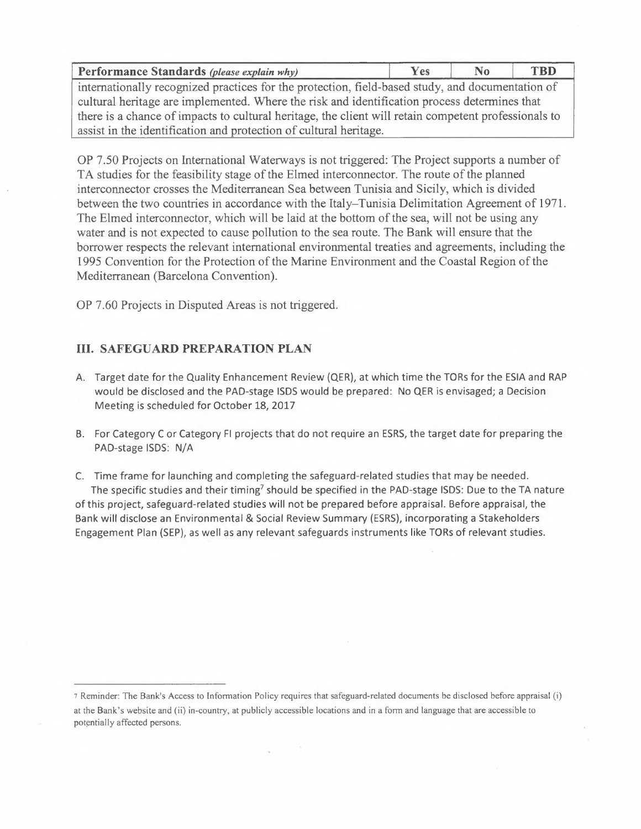| Performance Standards (please explain why)                                                       | <b>Yes</b> |  | TBD. |  |
|--------------------------------------------------------------------------------------------------|------------|--|------|--|
| internationally recognized practices for the protection, field-based study, and documentation of |            |  |      |  |

cultural heritage are implemented. Where the risk and identification process determines that there is a chance of impacts to cultural heritage, the client will retain competent professionals to assist in the identification and protection of cultural heritage.

OP 7.50 Projects on International Waterways is not triggered: The Project supports a number of TA studies for the feasibility stage of the Elmed interconnector. The route of the planned interconnector crosses the Mediterranean Sea between Tunisia and Sicily, which is divided between the two countries in accordance with the Italy-Tunisia Delimitation Agreement of 1971. The Elmed interconnector, which will be laid at the bottom of the sea, will not be using any water and is not expected to cause pollution to the sea route. The Bank will ensure that the borrower respects the relevant international environmental treaties and agreements, including the 1995 Convention for the Protection of the Marine Environment and the Coastal Region of the Mediterranean (Barcelona Convention).

OP 7.60 Projects in Disputed Areas is not triggered.

# **III. SAFEGUARD PREPARATION PLAN**

- A. Target date for the Quality Enhancement Review (QER), at which time the TORs for the ESIA and RAP would be disclosed and the PAD-stage ISDS would be prepared: No QER is envisaged; a Decision Meeting is scheduled for October 18, 2017
- B. For Category C or Category Fl projects that do not require an ESRS, the target date for preparing the PAD-stage ISDS: N/A
- C. Time frame for launching and completing the safeguard-related studies that may be needed. The specific studies and their timing<sup>7</sup> should be specified in the PAD-stage ISDS: Due to the TA nature of this project, safeguard-related studies will not be prepared before appraisal. Before appraisal, the Bank will disclose an Environmental & Social Review Summary (ESRS), incorporating a Stakeholders Engagement Plan (SEP), as well as any relevant safeguards instruments like TORs of relevant studies.

<sup>7</sup>Reminder: The Bank's Access to Information Policy requires that safeguard-related documents be disclosed before appraisal (i) at the Bank's website and (ii) in-country, at publicly accessible locations and in a form and language that are accessible to potentially affected persons.